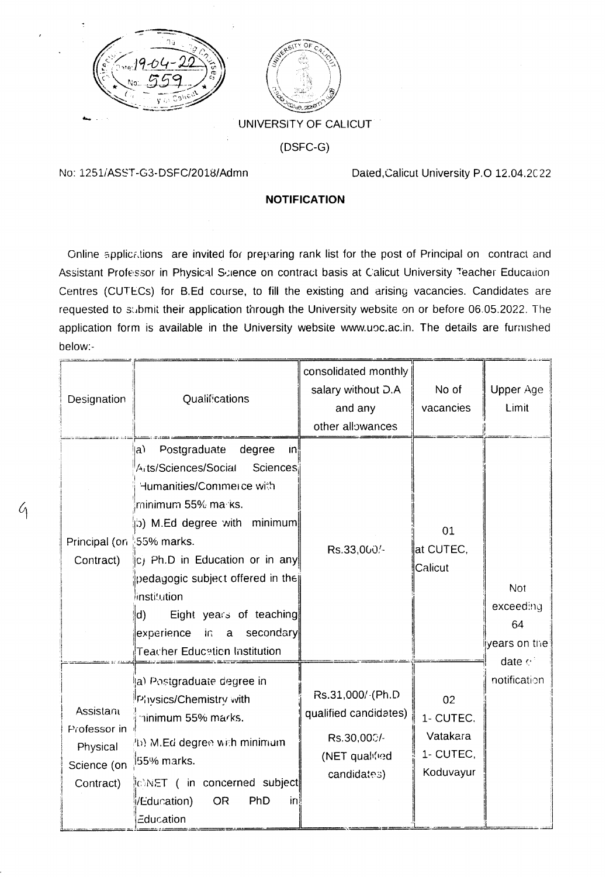



## UNIVERSITY OF CALICUT

 $(DSFC-G)$ 

No: 1251/ASST-G3-DSFC/2018/Admn

G

Dated, Calicut University P.O 12.04.2022

## **NOTIFICATION**

Online applications are invited for preparing rank list for the post of Principal on contract and Assistant Professor in Physical Science on contract basis at Calicut University Teacher Education Centres (CUTECs) for B.Ed course, to fill the existing and arising vacancies. Candidates are requested to submit their application through the University website on or before 06.05.2022. The application form is available in the University website www.upc.ac.in. The details are furnished below:-

| Designation                                                       | <b>Qualifications</b>                                                                                                                                                                                                                                                                                                                                                   | consolidated monthly<br>salary without D.A<br>and any<br>other allowances                 | No of<br>vacancies                                    | <b>Upper Age</b><br>Limit                                                   |
|-------------------------------------------------------------------|-------------------------------------------------------------------------------------------------------------------------------------------------------------------------------------------------------------------------------------------------------------------------------------------------------------------------------------------------------------------------|-------------------------------------------------------------------------------------------|-------------------------------------------------------|-----------------------------------------------------------------------------|
| Principal (on \$55% marks.<br>Contract)                           | Postgraduate<br>degree<br>$ a\rangle$<br> n <br>Arts/Sciences/Social<br>Sciences<br>Humanities/Commerce with<br>rninimum 55% marks.<br>(b) M.Ed degree with minimum<br>c) Ph.D in Education or in any<br>pedagogic subject offered in the<br>linstitution<br>Eight years of teaching<br>d)<br>a secondary<br>experience<br>in -<br><b>Teacher Education Institution</b> | Rs.33,000/-                                                                               | 01<br>at CUTEC,<br>Calicut                            | <b>Not</b><br>exceeding<br>64<br>years on the<br>date $e^+$<br>notification |
| Assistant<br>Professor in<br>Physical<br>Science (on<br>Contract) | a) Post <mark>graduate degree in</mark><br>Physics/Chemistry with<br>minimum 55% marks.<br>4b) M.Ed degree with minimum<br>55% marks.<br>IONET ( in concerned subject<br><b>OR</b><br>PhD<br>/Education)<br>in<br>Education                                                                                                                                             | Rs.31,000/-(Ph.D<br>qualified candidates)<br>Rs.30,000/-<br>(NET qualified<br>candidates) | 02<br>1- CUTEC.<br>Vatakara<br>1- CUTEC,<br>Koduvayur |                                                                             |